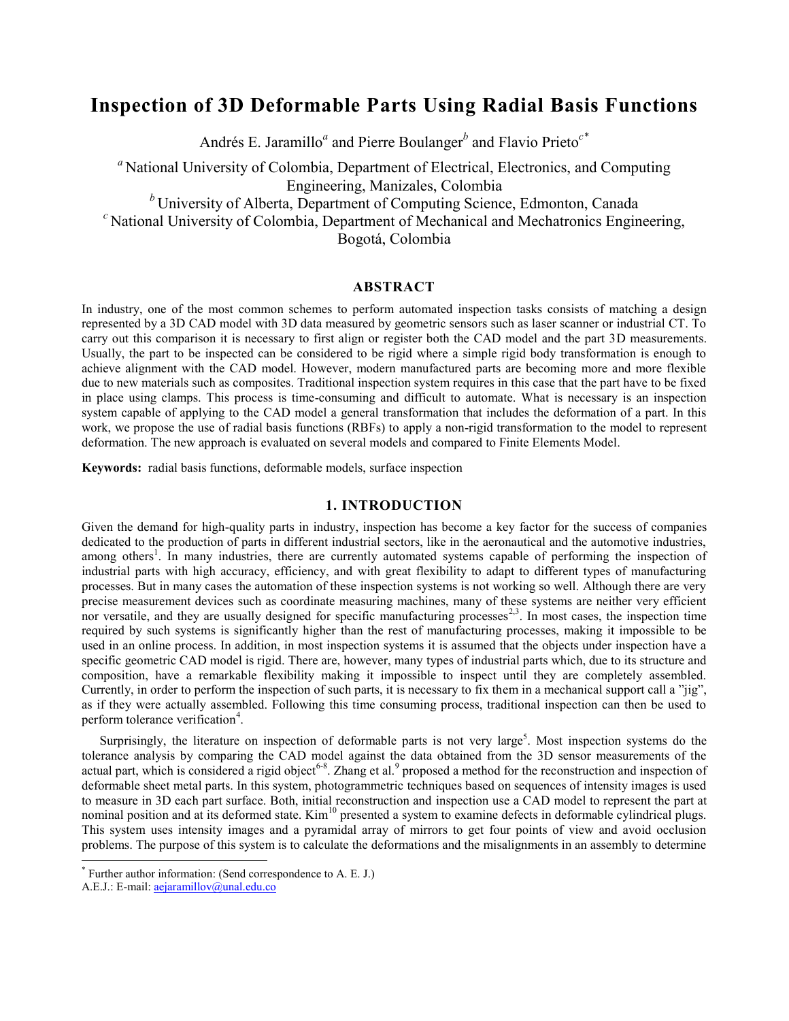# **Inspection of 3D Deformable Parts Using Radial Basis Functions**

Andrés E. Jaramillo*<sup>a</sup>* and Pierre Boulanger*<sup>b</sup>* and Flavio Prieto*c\**

*<sup>a</sup>* National University of Colombia, Department of Electrical, Electronics, and Computing Engineering, Manizales, Colombia

*<sup>b</sup>* University of Alberta, Department of Computing Science, Edmonton, Canada

*<sup>c</sup>* National University of Colombia, Department of Mechanical and Mechatronics Engineering,

Bogotá, Colombia

# **ABSTRACT**

In industry, one of the most common schemes to perform automated inspection tasks consists of matching a design represented by a 3D CAD model with 3D data measured by geometric sensors such as laser scanner or industrial CT. To carry out this comparison it is necessary to first align or register both the CAD model and the part 3D measurements. Usually, the part to be inspected can be considered to be rigid where a simple rigid body transformation is enough to achieve alignment with the CAD model. However, modern manufactured parts are becoming more and more flexible due to new materials such as composites. Traditional inspection system requires in this case that the part have to be fixed in place using clamps. This process is time-consuming and difficult to automate. What is necessary is an inspection system capable of applying to the CAD model a general transformation that includes the deformation of a part. In this work, we propose the use of radial basis functions (RBFs) to apply a non-rigid transformation to the model to represent deformation. The new approach is evaluated on several models and compared to Finite Elements Model.

**Keywords:** radial basis functions, deformable models, surface inspection

# **1. INTRODUCTION**

Given the demand for high-quality parts in industry, inspection has become a key factor for the success of companies dedicated to the production of parts in different industrial sectors, like in the aeronautical and the automotive industries, among others<sup>1</sup>. In many industries, there are currently automated systems capable of performing the inspection of industrial parts with high accuracy, efficiency, and with great flexibility to adapt to different types of manufacturing processes. But in many cases the automation of these inspection systems is not working so well. Although there are very precise measurement devices such as coordinate measuring machines, many of these systems are neither very efficient nor versatile, and they are usually designed for specific manufacturing processes<sup>2,3</sup>. In most cases, the inspection time required by such systems is significantly higher than the rest of manufacturing processes, making it impossible to be used in an online process. In addition, in most inspection systems it is assumed that the objects under inspection have a specific geometric CAD model is rigid. There are, however, many types of industrial parts which, due to its structure and composition, have a remarkable flexibility making it impossible to inspect until they are completely assembled. Currently, in order to perform the inspection of such parts, it is necessary to fix them in a mechanical support call a "jig", as if they were actually assembled. Following this time consuming process, traditional inspection can then be used to perform tolerance verification<sup>4</sup>.

Surprisingly, the literature on inspection of deformable parts is not very large<sup>5</sup>. Most inspection systems do the tolerance analysis by comparing the CAD model against the data obtained from the 3D sensor measurements of the actual part, which is considered a rigid object<sup>6-8</sup>. Zhang et al.<sup>9</sup> proposed a method for the reconstruction and inspection of deformable sheet metal parts. In this system, photogrammetric techniques based on sequences of intensity images is used to measure in 3D each part surface. Both, initial reconstruction and inspection use a CAD model to represent the part at nominal position and at its deformed state.  $Kim^{10}$  presented a system to examine defects in deformable cylindrical plugs. This system uses intensity images and a pyramidal array of mirrors to get four points of view and avoid occlusion problems. The purpose of this system is to calculate the deformations and the misalignments in an assembly to determine

-

<sup>\*</sup> Further author information: (Send correspondence to A. E. J.)

A.E.J.: E-mail[: aejaramillov@unal.edu.co](mailto:aaa@tbk2.edu)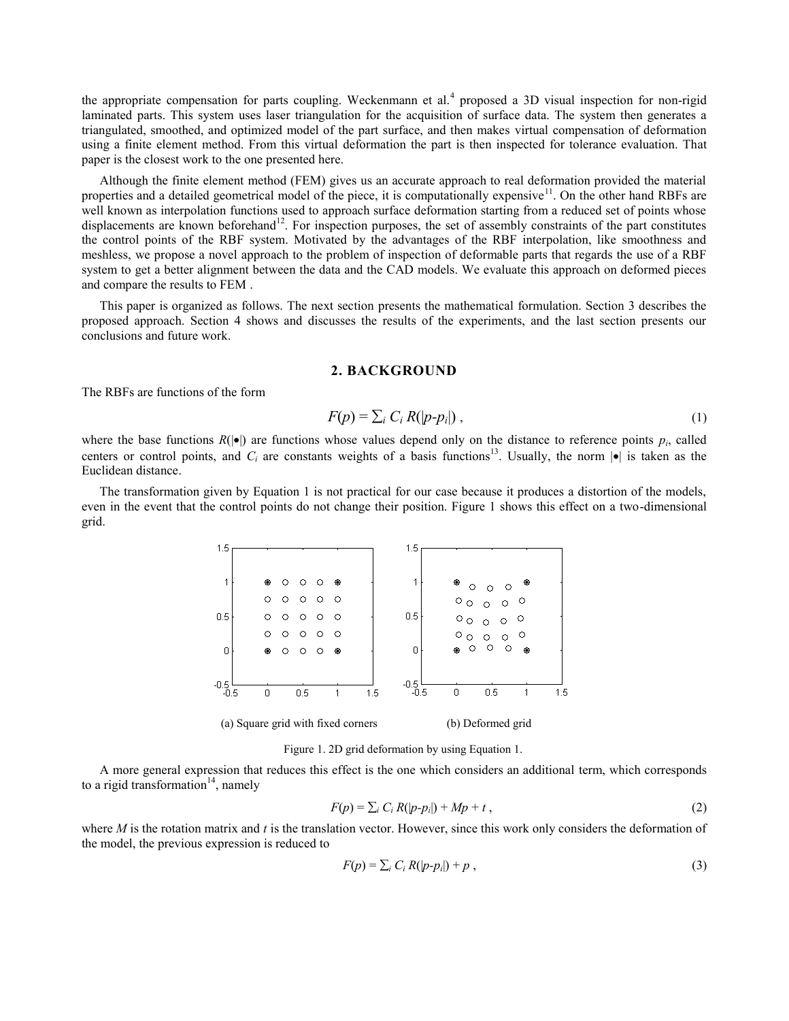the appropriate compensation for parts coupling. Weckenmann et al.<sup>4</sup> proposed a 3D visual inspection for non-rigid laminated parts. This system uses laser triangulation for the acquisition of surface data. The system then generates a triangulated, smoothed, and optimized model of the part surface, and then makes virtual compensation of deformation using a finite element method. From this virtual deformation the part is then inspected for tolerance evaluation. That paper is the closest work to the one presented here.

Although the finite element method (FEM) gives us an accurate approach to real deformation provided the material properties and a detailed geometrical model of the piece, it is computationally expensive $1^1$ . On the other hand RBFs are well known as interpolation functions used to approach surface deformation starting from a reduced set of points whose displacements are known beforehand<sup>12</sup>. For inspection purposes, the set of assembly constraints of the part constitutes the control points of the RBF system. Motivated by the advantages of the RBF interpolation, like smoothness and meshless, we propose a novel approach to the problem of inspection of deformable parts that regards the use of a RBF system to get a better alignment between the data and the CAD models. We evaluate this approach on deformed pieces and compare the results to FEM .

This paper is organized as follows. The next section presents the mathematical formulation. Section 3 describes the proposed approach. Section 4 shows and discusses the results of the experiments, and the last section presents our conclusions and future work.

#### **2. BACKGROUND**

The RBFs are functions of the form

$$
F(p) = \sum_{i} C_i R(|p-p_i|) \tag{1}
$$

where the base functions  $R(|\bullet|)$  are functions whose values depend only on the distance to reference points  $p_i$ , called centers or control points, and  $C_i$  are constants weights of a basis functions<sup>13</sup>. Usually, the norm  $|\bullet|$  is taken as the Euclidean distance.

The transformation given by Equation 1 is not practical for our case because it produces a distortion of the models, even in the event that the control points do not change their position. Figure 1 shows this effect on a two-dimensional grid.



(a) Square grid with fixed corners (b) Deformed grid

Figure 1. 2D grid deformation by using Equation 1.

A more general expression that reduces this effect is the one which considers an additional term, which corresponds to a rigid transformation $14$ , namely

$$
F(p) = \sum_{i} C_i R(|p-p_i|) + Mp + t,
$$
\n(2)

where *M* is the rotation matrix and *t* is the translation vector. However, since this work only considers the deformation of the model, the previous expression is reduced to

$$
F(p) = \sum_{i} C_i R(|p-p_i|) + p \tag{3}
$$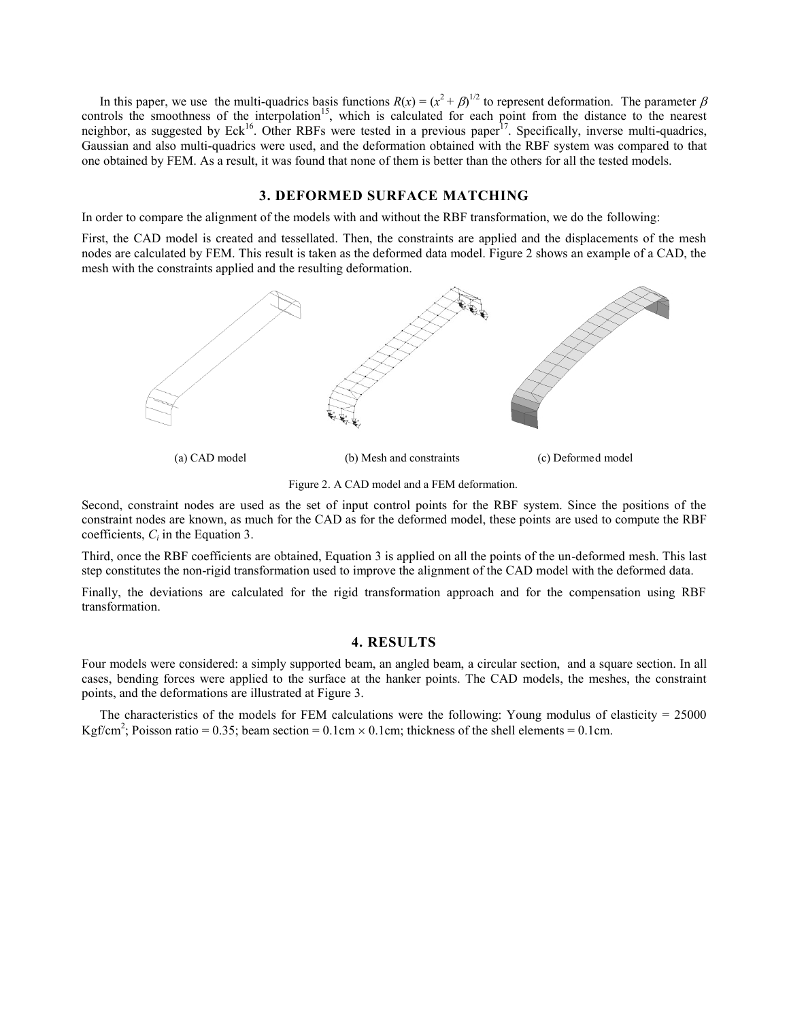In this paper, we use the multi-quadrics basis functions  $R(x) = (x^2 + \beta)^{1/2}$  to represent deformation. The parameter  $\beta$ controls the smoothness of the interpolation<sup>15</sup>, which is calculated for each point from the distance to the nearest neighbor, as suggested by Eck<sup>16</sup>. Other RBFs were tested in a previous paper<sup>17</sup>. Specifically, inverse multi-quadrics, Gaussian and also multi-quadrics were used, and the deformation obtained with the RBF system was compared to that one obtained by FEM. As a result, it was found that none of them is better than the others for all the tested models.

## **3. DEFORMED SURFACE MATCHING**

In order to compare the alignment of the models with and without the RBF transformation, we do the following:

First, the CAD model is created and tessellated. Then, the constraints are applied and the displacements of the mesh nodes are calculated by FEM. This result is taken as the deformed data model. Figure 2 shows an example of a CAD, the mesh with the constraints applied and the resulting deformation.



Figure 2. A CAD model and a FEM deformation.

Second, constraint nodes are used as the set of input control points for the RBF system. Since the positions of the constraint nodes are known, as much for the CAD as for the deformed model, these points are used to compute the RBF coefficients,  $C_i$  in the Equation 3.

Third, once the RBF coefficients are obtained, Equation 3 is applied on all the points of the un-deformed mesh. This last step constitutes the non-rigid transformation used to improve the alignment of the CAD model with the deformed data.

Finally, the deviations are calculated for the rigid transformation approach and for the compensation using RBF transformation.

### **4. RESULTS**

Four models were considered: a simply supported beam, an angled beam, a circular section, and a square section. In all cases, bending forces were applied to the surface at the hanker points. The CAD models, the meshes, the constraint points, and the deformations are illustrated at Figure 3.

The characteristics of the models for FEM calculations were the following: Young modulus of elasticity = 25000 Kgf/cm<sup>2</sup>; Poisson ratio = 0.35; beam section = 0.1cm × 0.1cm; thickness of the shell elements = 0.1cm.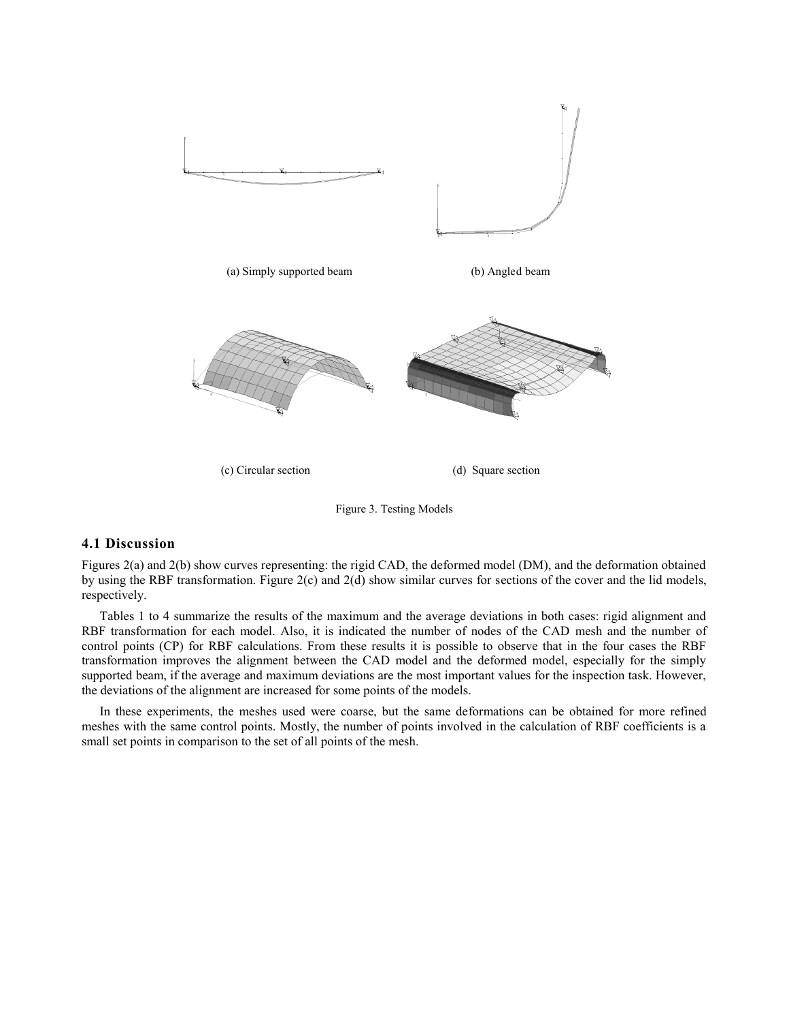

Figure 3. Testing Models

## **4.1 Discussion**

Figures 2(a) and 2(b) show curves representing: the rigid CAD, the deformed model (DM), and the deformation obtained by using the RBF transformation. Figure 2(c) and 2(d) show similar curves for sections of the cover and the lid models, respectively.

Tables 1 to 4 summarize the results of the maximum and the average deviations in both cases: rigid alignment and RBF transformation for each model. Also, it is indicated the number of nodes of the CAD mesh and the number of control points (CP) for RBF calculations. From these results it is possible to observe that in the four cases the RBF transformation improves the alignment between the CAD model and the deformed model, especially for the simply supported beam, if the average and maximum deviations are the most important values for the inspection task. However, the deviations of the alignment are increased for some points of the models.

In these experiments, the meshes used were coarse, but the same deformations can be obtained for more refined meshes with the same control points. Mostly, the number of points involved in the calculation of RBF coefficients is a small set points in comparison to the set of all points of the mesh.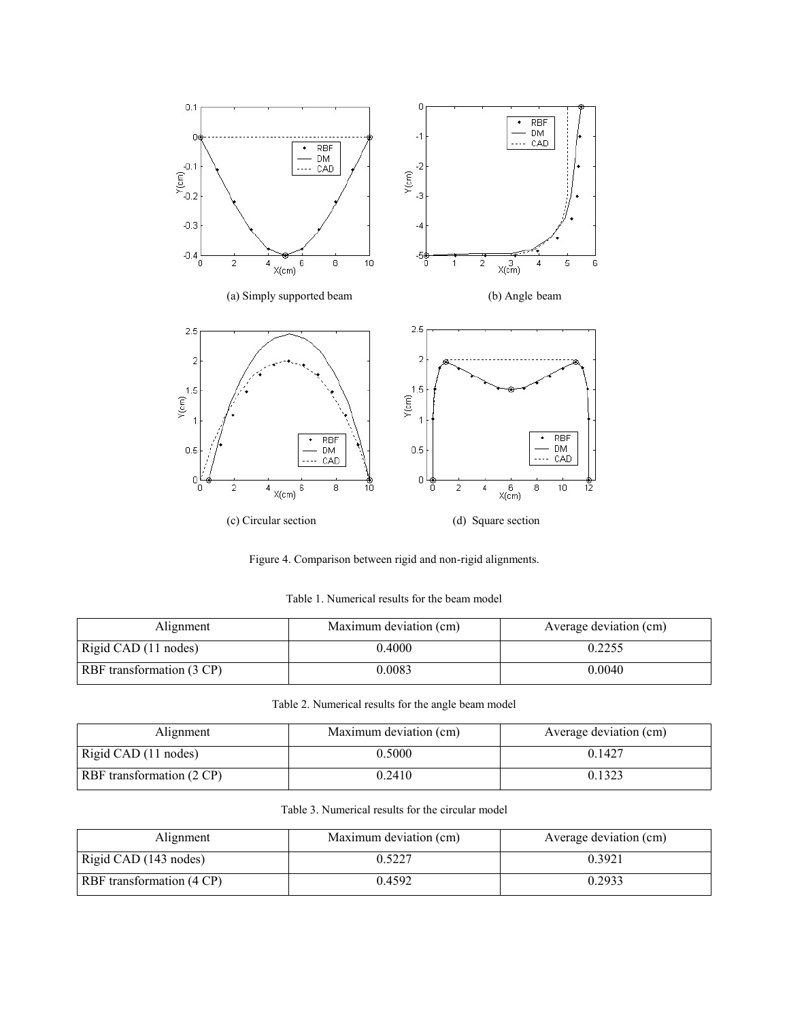

Figure 4. Comparison between rigid and non-rigid alignments.

Table 1. Numerical results for the beam model

| Alignment                 | Maximum deviation (cm) | Average deviation (cm) |
|---------------------------|------------------------|------------------------|
| Rigid CAD (11 nodes)      | 0.4000                 | 0.2255                 |
| RBF transformation (3 CP) | 0.0083                 | 0.0040                 |

Table 2. Numerical results for the angle beam model

| Alignment                 | Maximum deviation (cm) | Average deviation (cm) |
|---------------------------|------------------------|------------------------|
| Rigid CAD (11 nodes)      | 0.5000                 | 0.1427                 |
| RBF transformation (2 CP) | 0.2410                 | 0.1323                 |

Table 3. Numerical results for the circular model

| Alignment                 | Maximum deviation (cm) | Average deviation (cm) |
|---------------------------|------------------------|------------------------|
| Rigid CAD (143 nodes)     | 0.5227                 | 0.3921                 |
| RBF transformation (4 CP) | 0.4592                 | 0.2933                 |